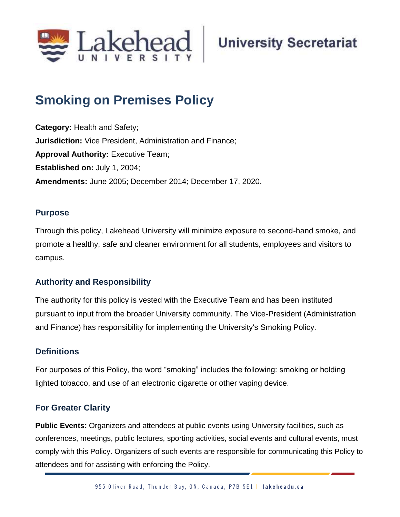

# **Smoking on Premises Policy**

**Category:** Health and Safety; **Jurisdiction:** Vice President, Administration and Finance; **Approval Authority: Executive Team; Established on:** July 1, 2004; **Amendments:** June 2005; December 2014; December 17, 2020.

#### **Purpose**

Through this policy, Lakehead University will minimize exposure to second-hand smoke, and promote a healthy, safe and cleaner environment for all students, employees and visitors to campus.

## **Authority and Responsibility**

The authority for this policy is vested with the Executive Team and has been instituted pursuant to input from the broader University community. The Vice-President (Administration and Finance) has responsibility for implementing the University's Smoking Policy.

#### **Definitions**

For purposes of this Policy, the word "smoking" includes the following: smoking or holding lighted tobacco, and use of an electronic cigarette or other vaping device.

## **For Greater Clarity**

**Public Events:** Organizers and attendees at public events using University facilities, such as conferences, meetings, public lectures, sporting activities, social events and cultural events, must comply with this Policy. Organizers of such events are responsible for communicating this Policy to attendees and for assisting with enforcing the Policy.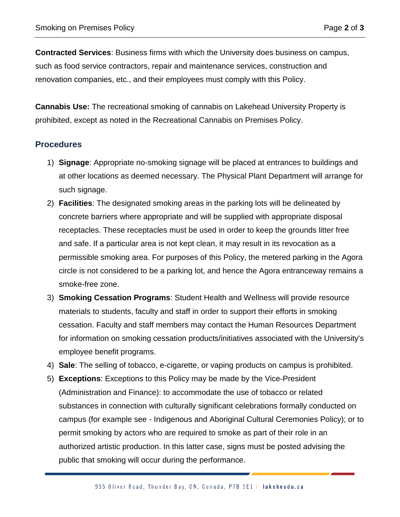**Contracted Services**: Business firms with which the University does business on campus, such as food service contractors, repair and maintenance services, construction and renovation companies, etc., and their employees must comply with this Policy.

**Cannabis Use:** The recreational smoking of cannabis on Lakehead University Property is prohibited, except as noted in the Recreational Cannabis on Premises Policy.

#### **Procedures**

- 1) **Signage**: Appropriate no-smoking signage will be placed at entrances to buildings and at other locations as deemed necessary. The Physical Plant Department will arrange for such signage.
- 2) **Facilities**: The designated smoking areas in the parking lots will be delineated by concrete barriers where appropriate and will be supplied with appropriate disposal receptacles. These receptacles must be used in order to keep the grounds litter free and safe. If a particular area is not kept clean, it may result in its revocation as a permissible smoking area. For purposes of this Policy, the metered parking in the Agora circle is not considered to be a parking lot, and hence the Agora entranceway remains a smoke-free zone.
- 3) **Smoking Cessation Programs**: Student Health and Wellness will provide resource materials to students, faculty and staff in order to support their efforts in smoking cessation. Faculty and staff members may contact the Human Resources Department for information on smoking cessation products/initiatives associated with the University's employee benefit programs.
- 4) **Sale**: The selling of tobacco, e-cigarette, or vaping products on campus is prohibited.
- 5) **Exceptions**: Exceptions to this Policy may be made by the Vice-President (Administration and Finance): to accommodate the use of tobacco or related substances in connection with culturally significant celebrations formally conducted on campus (for example see - Indigenous and Aboriginal Cultural Ceremonies Policy); or to permit smoking by actors who are required to smoke as part of their role in an authorized artistic production. In this latter case, signs must be posted advising the public that smoking will occur during the performance.